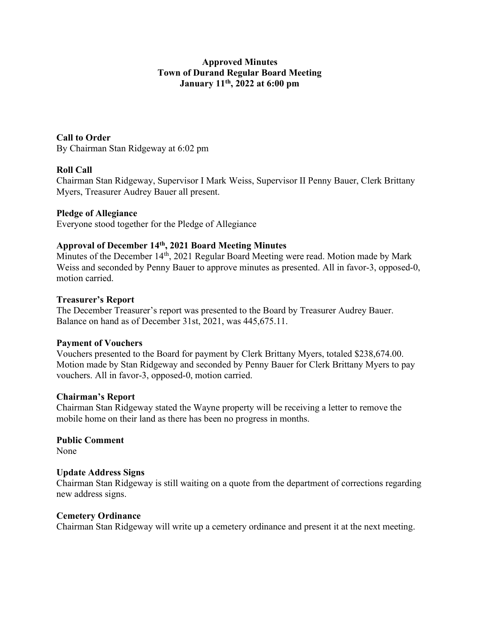## Approved Minutes Town of Durand Regular Board Meeting January 11th, 2022 at 6:00 pm

Call to Order By Chairman Stan Ridgeway at 6:02 pm

## Roll Call

Chairman Stan Ridgeway, Supervisor I Mark Weiss, Supervisor II Penny Bauer, Clerk Brittany Myers, Treasurer Audrey Bauer all present.

### Pledge of Allegiance

Everyone stood together for the Pledge of Allegiance

# Approval of December 14th, 2021 Board Meeting Minutes

Minutes of the December 14<sup>th</sup>, 2021 Regular Board Meeting were read. Motion made by Mark Weiss and seconded by Penny Bauer to approve minutes as presented. All in favor-3, opposed-0, motion carried.

### Treasurer's Report

The December Treasurer's report was presented to the Board by Treasurer Audrey Bauer. Balance on hand as of December 31st, 2021, was 445,675.11.

### Payment of Vouchers

Vouchers presented to the Board for payment by Clerk Brittany Myers, totaled \$238,674.00. Motion made by Stan Ridgeway and seconded by Penny Bauer for Clerk Brittany Myers to pay vouchers. All in favor-3, opposed-0, motion carried.

### Chairman's Report

Chairman Stan Ridgeway stated the Wayne property will be receiving a letter to remove the mobile home on their land as there has been no progress in months.

Public Comment None

## Update Address Signs

Chairman Stan Ridgeway is still waiting on a quote from the department of corrections regarding new address signs.

### Cemetery Ordinance

Chairman Stan Ridgeway will write up a cemetery ordinance and present it at the next meeting.